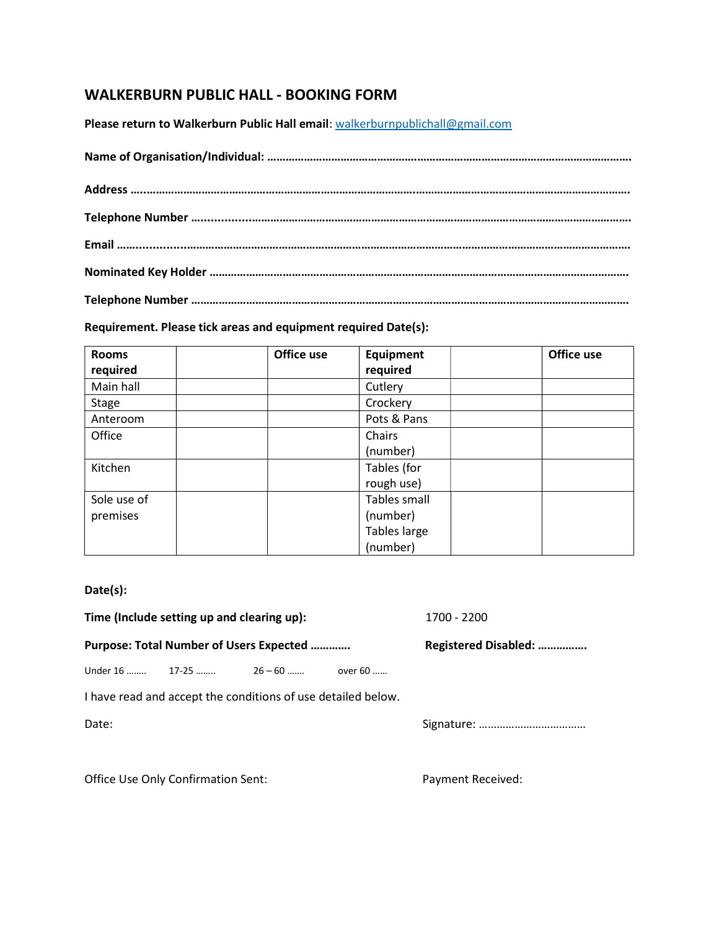## WALKERBURN PUBLIC HALL - BOOKING FORM

Please return to Walkerburn Public Hall email: walkerburnpublichall@gmail.com

## Requirement. Please tick areas and equipment required Date(s):

| <b>Rooms</b> | Office use | <b>Equipment</b> | Office use |
|--------------|------------|------------------|------------|
| required     |            | required         |            |
| Main hall    |            | Cutlery          |            |
| <b>Stage</b> |            | Crockery         |            |
| Anteroom     |            | Pots & Pans      |            |
| Office       |            | Chairs           |            |
|              |            | (number)         |            |
| Kitchen      |            | Tables (for      |            |
|              |            | rough use)       |            |
| Sole use of  |            | Tables small     |            |
| premises     |            | (number)         |            |
|              |            | Tables large     |            |
|              |            | (number)         |            |

## Date(s):

|                                                              | Time (Include setting up and clearing up): | 1700 - 2200          |  |  |  |  |  |  |
|--------------------------------------------------------------|--------------------------------------------|----------------------|--|--|--|--|--|--|
|                                                              | Purpose: Total Number of Users Expected    | Registered Disabled: |  |  |  |  |  |  |
|                                                              | Under 16  17-25  26 – 60  over 60          |                      |  |  |  |  |  |  |
| I have read and accept the conditions of use detailed below. |                                            |                      |  |  |  |  |  |  |
| Date:                                                        |                                            |                      |  |  |  |  |  |  |
|                                                              |                                            |                      |  |  |  |  |  |  |
|                                                              |                                            |                      |  |  |  |  |  |  |

Office Use Only Confirmation Sent: Payment Received: